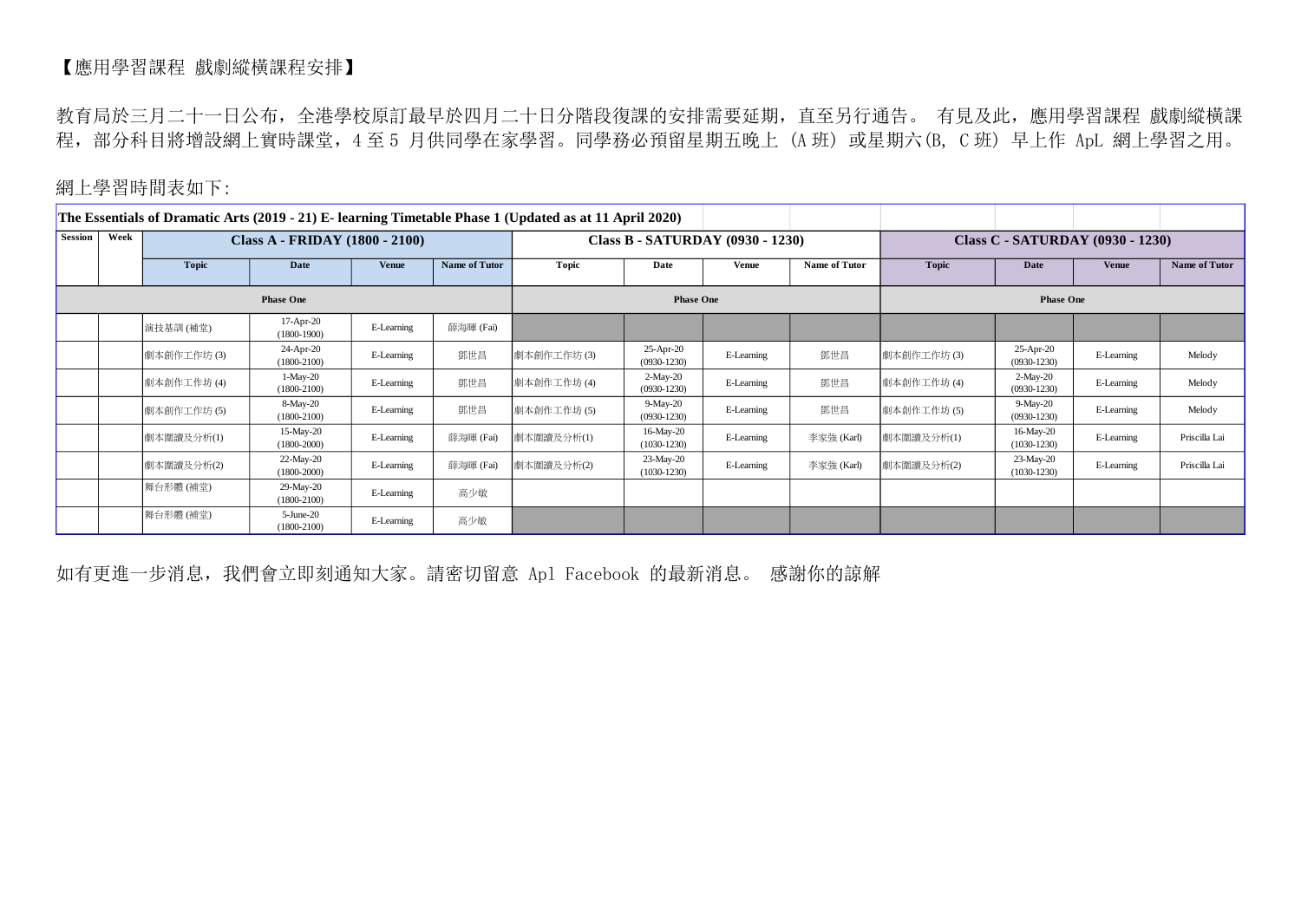## 【應用學習課程 戲劇縱橫課程安排】

教育局於三月二十一日公布,全港學校原訂最早於四月二十日分階段復課的安排需要延期,直至另行通告。 有見及此,應用學習課程 戲劇縱橫課 程,部分科目將增設網上實時課堂,4 至 5 月供同學在家學習。同學務必預留星期五晚上 (A 班) 或星期六(B, C 班) 早上作 ApL 網上學習之用。

## 網上學習時間表如下:

| The Essentials of Dramatic Arts (2019 - 21) E- learning Timetable Phase 1 (Updated as at 11 April 2020) |      |              |                                |              |                                  |              |                             |              |                                  |                  |                             |              |               |  |
|---------------------------------------------------------------------------------------------------------|------|--------------|--------------------------------|--------------|----------------------------------|--------------|-----------------------------|--------------|----------------------------------|------------------|-----------------------------|--------------|---------------|--|
| Session                                                                                                 | Week |              | Class A - FRIDAY (1800 - 2100) |              | Class B - SATURDAY (0930 - 1230) |              |                             |              | Class C - SATURDAY (0930 - 1230) |                  |                             |              |               |  |
|                                                                                                         |      | <b>Topic</b> | Date                           | <b>Venue</b> | <b>Name of Tutor</b>             | <b>Topic</b> | Date                        | <b>Venue</b> | Name of Tutor                    | Topic            | Date                        | <b>Venue</b> | Name of Tutor |  |
| <b>Phase One</b>                                                                                        |      |              |                                |              |                                  |              | <b>Phase One</b>            |              |                                  | <b>Phase One</b> |                             |              |               |  |
|                                                                                                         |      | 演技基訓 (補堂)    | 17-Apr-20<br>$(1800-1900)$     | E-Learning   | 薛海暉 (Fai)                        |              |                             |              |                                  |                  |                             |              |               |  |
|                                                                                                         |      | 劇本創作工作坊(3)   | 24-Apr-20<br>$(1800-2100)$     | E-Learning   | 鄧世昌                              | 劇本創作工作坊(3)   | 25-Apr-20<br>$(0930-1230)$  | E-Learning   | 鄧世昌                              | 劇本創作工作坊(3)       | 25-Apr-20<br>$(0930-1230)$  | E-Learning   | Melody        |  |
|                                                                                                         |      | 劇本創作工作坊(4)   | $1-May-20$<br>$(1800-2100)$    | E-Learning   | 鄧世昌                              | 劇本創作工作坊(4)   | $2-May-20$<br>$(0930-1230)$ | E-Learning   | 鄧世昌                              | 劇本創作工作坊(4)       | $2-May-20$<br>$(0930-1230)$ | E-Learning   | Melody        |  |
|                                                                                                         |      | 劇本創作工作坊(5)   | 8-May-20<br>$(1800-2100)$      | E-Learning   | 鄧世昌                              | 劇本創作工作坊(5)   | 9-May-20<br>$(0930-1230)$   | E-Learning   | 鄧世昌                              | 劇本創作工作坊(5)       | 9-May-20<br>$(0930 - 1230)$ | E-Learning   | Melody        |  |
|                                                                                                         |      | 劇本圍讀及分析(1)   | 15-May-20<br>$(1800 - 2000)$   | E-Learning   | 薛海暉 (Fai)                        | 劇本圍讀及分析(1)   | 16-May-20<br>$(1030-1230)$  | E-Learning   | 李家強 (Karl)                       | 劇本圍讀及分析(1)       | 16-May-20<br>$(1030-1230)$  | E-Learning   | Priscilla Lai |  |
|                                                                                                         |      | 劇本圍讀及分析(2)   | 22-May-20<br>$(1800-2000)$     | E-Learning   | 薛海暉 (Fai)                        | 劇本圍讀及分析(2)   | 23-May-20<br>$(1030-1230)$  | E-Learning   | 李家強 (Karl)                       | 劇本圍讀及分析(2)       | 23-May-20<br>$(1030-1230)$  | E-Learning   | Priscilla Lai |  |
|                                                                                                         |      | 舞台形體(補堂)     | 29-May-20<br>$(1800-2100)$     | E-Learning   | 高少敏                              |              |                             |              |                                  |                  |                             |              |               |  |
|                                                                                                         |      | 舞台形體(補堂)     | $5$ -June-20<br>$(1800-2100)$  | E-Learning   | 高少敏                              |              |                             |              |                                  |                  |                             |              |               |  |

如有更進一步消息,我們會立即刻通知大家。請密切留意 Apl Facebook 的最新消息。 感謝你的諒解